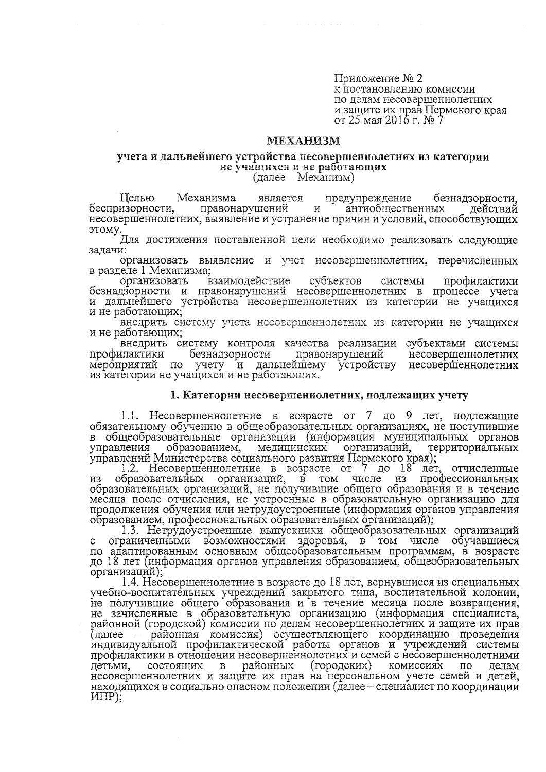Приложение № 2 к постановлению комиссии по делам несовершеннолетних и защите их прав Пермского края от 25 мая 2016 г. № 7

# **MEXAHII3M**

#### учета и дальнейшего устройства несовершеннолетних из категории не учащихся и не работающих

 $(\text{gance} - \text{Mex}$ анизм)

Пелью Механизма является предупреждение безнадзорности. беспризорности, правонарушений и антиобщественных действий несовершеннолетних, выявление и устранение причин и условий, способствующих этому.

Для достижения поставленной цели необходимо реализовать следующие задачи:

организовать выявление и учет несовершеннолетних, перечисленных в разделе 1 Механизма;

субъектов организовать взаимодействие системы профилактики безнадзорности и правонарушений несовершеннолетних в процессе учета и дальнейшего устройства несовершеннолетних из категории не учащихся и не работающих;

внедрить систему учета несовершеннолетних из категории не учащихся и не работающих;

внедрить систему контроля качества реализации субъектами системы профилактики безнадзорности правонарушений несовершеннолетних мероприятий по учету и дальнейшему устройству несовершеннолетних из категории не учащихся и не работающих.

## 1. Категории несовершеннолетних, подлежащих учету

1.1. Несовершеннолетние в возрасте от 7 до 9 лет, подлежащие обязательному обучению в общеобразовательных организациях, не поступившие в общеобразовательные организации (информация муниципальных органов медицинских организаций. управления образованием, территориальных

управлений Министерства социального развития Пермского края);<br>1.2. Несовершеннолетние в возрасте от 7 до 18 лет,<br>из образовательных организаций, в том числе из проф отчисленные профессиональных образовательных организаций, не получившие общего образования и в течение месяца после отчисления, не устроенные в образовательную организацию для продолжения обучения или нетрудоустроенные (информация органов управления образованием, профессиональных образовательных организаций);

1.3. Нетрудоустроенные выпускники общеобразовательных организаций с ограниченными возможностями здоровья, в том числе обучавшиеся по адаптированным основным общеобразовательным программам, в возрасте до 18 лет (информация органов управления образованием, общеобразовательных организаций);

1.4. Несовершеннолетние в возрасте до 18 лет, вернувшиеся из специальных учебно-воспитательных учреждений закрытого типа, воспитательной колонии, не получившие общего образования и в течение месяца после возвращения, не зачисленные в образовательную организацию (информация специалиста, районной (городской) комиссии по делам несовершеннолетних и защите их прав (далее – районная комиссия) осуществляющего координацию проведения индивидуальной профилактической работы органов и учреждений системы профилактики в отношении несовершеннолетних и семей с несовершеннолетними  $\mathbf{B}$ районных (городских) комиссиях по детьми. состоящих делам несовершеннолетних и защите их прав на персональном учете семей и детей, находящихся в социально опасном положении (далее – специалист по координации  $MIP$ );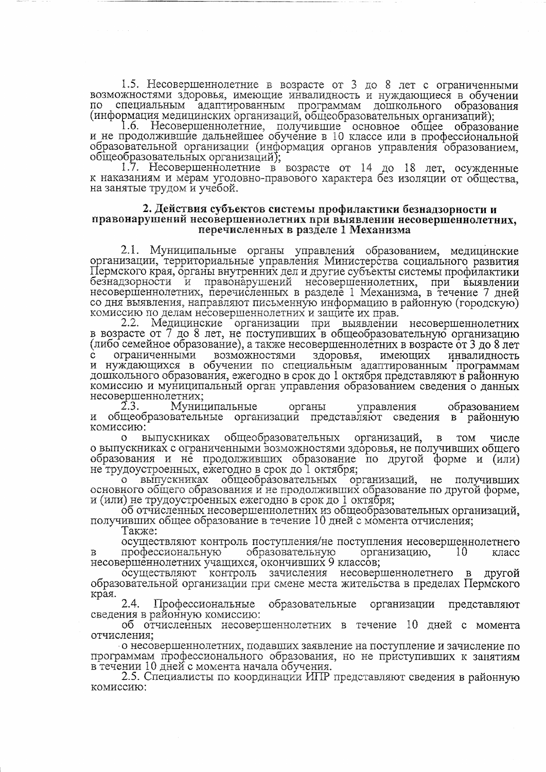1.5. Несовершеннолетние в возрасте от 3 до 8 лет с ограниченными возможностями здоровья, имеющие инвалидность и нуждающиеся в обучении специальным адаптированным программам дошкольного  $\overline{10}$ образования (информация медицинских организаций, общеобразовательных организаций);

1.6. Несовершеннолетние, получившие основное общее образование и не продолжившие дальнейшее обучение в 10 классе или в профессиональной образовательной организации (информация органов управления образованием, общеобразовательных организаций);

1.7. Несовершеннолетние в возрасте от 14 до 18 лет, осужденные к наказаниям и мерам уголовно-правового характера без изоляции от общества. на занятые трудом и учебой.

## 2. Действия субъектов системы профилактики безнадзорности и правонарушений несовершеннолетних при выявлении несовершеннолетних, перечисленных в разделе 1 Механизма

2.1. Муниципальные органы управления образованием, медицинские организации, территориальные управления Министерства социального развития Пермского края, органы внутренних дел и другие субъекты системы профилактики безнадзорности и правонарушений несовершеннолетних, при выявлении<br>несовершеннолетних, перечисленных в разделе 1 Механизма, в течение 7 дней со дня выявления, направляют письменную информацию в районную (городскую) комиссию по делам несовершеннолетних и защите их прав.

2.2. Медицинские организации при выявлении несовершеннолетних в возрасте от 7 до 8 лет, не поступивших в общеобразовательную организацию (либо семейное образование), а также несовершеннолетних в возрасте от 3 до 8 лет с ограниченными возможностями здоровья, имеющих инвалидность<br>и нуждающихся в обучении по специальным адаптированным программам дошкольного образования, ежегодно в срок до 1 октября представляют в районную комиссию и муниципальный орган управления образованием сведения о данных несовершеннолетних;<br>2.3. Муниц

Муниципальные органы образованием управления общеобразовательные организаций представляют сведения в районную И комиссию:

выпускниках общеобразовательных организаций,  $\overline{O}$  $\mathbf{B}$ TOM числе о выпускниках с ограниченными возможностями здоровья, не получивших общего образования и не продолживших образование по другой форме и (или) не трудоустроенных, ежегодно в срок до 1 октября;

выпускниках общеобразовательных организаций, не получивших  $\Omega$ основного общего образования и не продолживших образование по другой форме, и (или) не трудоустроенных ежегодно в срок до 1 октября;

об отчисленных несовершеннолетних из общеобразовательных организаций, получивших общее образование в течение 10 дней с момента отчисления;

Также:

осуществляют контроль поступления/не поступления несовершеннолетнего образовательную профессиональную организацию, 10 B класс несовершеннолетних учащихся, окончивших 9 классов;

осуществляют контроль зачисления несовершеннолетнего  $\mathbf{B}$ другой образовательной организации при смене места жительства в пределах Пермского края.

2.4. Профессиональные образовательные организации представляют сведения в районную комиссию:

об отчисленных несовершеннолетних в течение 10 дней с момента отчисления;

о несовершеннолетних, подавших заявление на поступление и зачисление по программам профессионального образования, но не приступивших к занятиям в течении 10 дней с момента начала обучения.

2.5. Специалисты по координации ИПР представляют сведения в районную комиссию: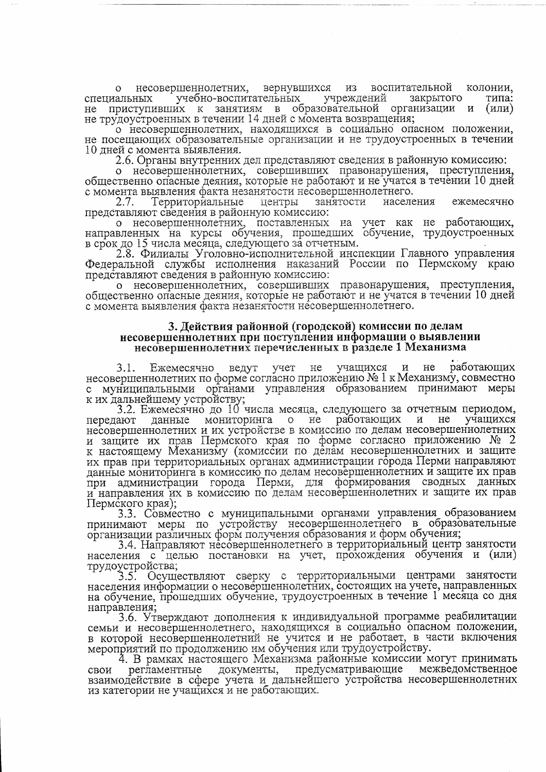колонии, вернувшихся воспитательной несовершеннолетних, ИЗ  $\Omega$ учебно-воспитательных учреждений закрытого типа: специальных приступивших к занятиям в образовательной организации и  $He$  $(MJ)$ не трудоустроенных в течении 14 дней с момента возвращения;

о несовершеннолетних, находящихся в социально опасном положении, не посещающих образовательные организации и не трудоустроенных в течении 10 дней с момента выявления.

2.6. Органы внутренних дел представляют сведения в районную комиссию:

несовершеннолетних, совершивших правонарушения, преступления,  $\Omega$ общественно опасные деяния, которые не работают и не учатся в течении 10 дней с момента выявления факта незанятости несовершеннолетнего.

2.7. Территориальные центры занятости населения ежемесячно представляют сведения в районную комиссию:

о несовершеннолетних, поставленных на учет как не работающих, направленных на курсы обучения, прошедших обучение, трудоустроенных в срок до 15 числа месяца, следующего за отчетным.

2.8. Филиалы Уголовно-исполнительной инспекции Главного управления Федеральной службы исполнения наказаний России по Пермскому краю представляют сведения в районную комиссию:

о несовершеннолетних, совершивших правонарушения, преступления, общественно опасные деяния, которые не работают и не учатся в течении 10 дней с момента выявления факта незанятости несовершеннолетнего.

## 3. Действия районной (городской) комиссии по делам несовершеннолетних при поступлении информации о выявлении несовершеннолетних перечисленных в разделе 1 Механизма

ведут учет не учащихся и не работающих 3.1. Ежемесячно несовершеннолетних по форме согласно приложению № 1 к Механизму, совместно муниципальными органами управления образованием принимают меры  $\mathbb{C}$ к их дальнейшему устройству;

3.2. Ежемесячно до 10 числа месяца, следующего за отчетным периодом,  $O$  He работающих передают мониторинга  $\mathbf{M}$  $He$ учащихся данные несовершеннолетних и их устройстве в комиссию по делам несовершеннолетних и защите их прав Пермского края по форме согласно приложению № 2 к настоящему Механизму (комиссии по делам несовершеннолетних и защите их прав при территориальных органах администрации города Перми направляют данные мониторинга в комиссию по делам несовершеннолетних и защите их прав при администрации города Перми, для формирования сводных данных и направления их в комиссию по делам несовершеннолетних и защите их прав Пермского края);

1 3.3. Совместно с муниципальными органами управления образованием принимают меры по устройству несовершеннолетнего в образовательные организации различных форм получения образования и форм обучения;

3.4. Направляют несовершеннолетнего в территориальный центр занятости населения с целью постановки на учет, прохождения обучения и (или) трудоустройства;

3.5. Осуществляют сверку с территориальными центрами занятости населения информации о несовершеннолетних, состоящих на учете, направленных на обучение, прошедших обучение, трудоустроенных в течение 1 месяца со дня направления;

3.6. Утверждают дополнения к индивидуальной программе реабилитации семьи и несовершеннолетнего, находящихся в социально опасном положении, в которой несовершеннолетний не учится и не работает, в части включения мероприятий по продолжению им обучения или трудоустройству.

4. В рамках настоящего Механизма районные комиссии могут принимать документы, предусматривающие регламентные межведомственное свои взаимодействие в сфере учета и дальнейшего устройства несовершеннолетних из категории не учащихся и не работающих.